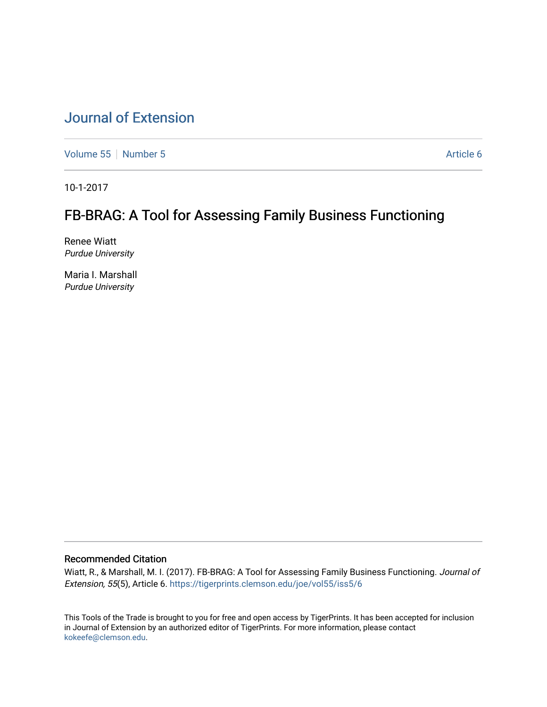# [Journal of Extension](https://tigerprints.clemson.edu/joe)

[Volume 55](https://tigerprints.clemson.edu/joe/vol55) [Number 5](https://tigerprints.clemson.edu/joe/vol55/iss5) Article 6

10-1-2017

# FB-BRAG: A Tool for Assessing Family Business Functioning

Renee Wiatt Purdue University

Maria I. Marshall Purdue University

#### Recommended Citation

Wiatt, R., & Marshall, M. I. (2017). FB-BRAG: A Tool for Assessing Family Business Functioning. Journal of Extension, 55(5), Article 6.<https://tigerprints.clemson.edu/joe/vol55/iss5/6>

This Tools of the Trade is brought to you for free and open access by TigerPrints. It has been accepted for inclusion in Journal of Extension by an authorized editor of TigerPrints. For more information, please contact [kokeefe@clemson.edu](mailto:kokeefe@clemson.edu).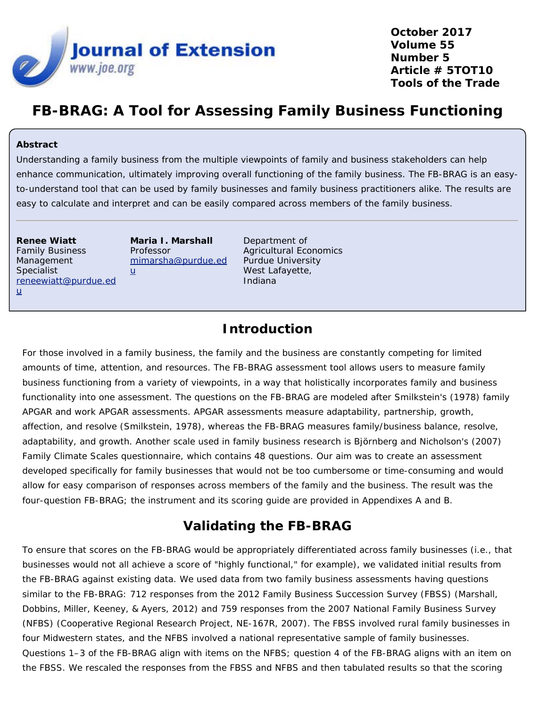

**October 2017 Volume 55 Number 5 Article # 5TOT10 Tools of the Trade**

# **FB-BRAG: A Tool for Assessing Family Business Functioning**

#### **Abstract**

Understanding a family business from the multiple viewpoints of family and business stakeholders can help enhance communication, ultimately improving overall functioning of the family business. The FB-BRAG is an easyto-understand tool that can be used by family businesses and family business practitioners alike. The results are easy to calculate and interpret and can be easily compared across members of the family business.

**Renee Wiatt** Family Business Management Specialist [reneewiatt@purdue.ed](mailto:cealexan@purdue.edu)  $u$  $u$  $u$ </u>

**Maria I. Marshall** Professor [mimarsha@purdue.ed](mailto:mimarsha@purdue.edu)  $u$  $u$  $u$ </u>

Department of Agricultural Economics Purdue University West Lafayette, Indiana

### **Introduction**

For those involved in a family business, the family and the business are constantly competing for limited amounts of time, attention, and resources. The FB-BRAG assessment tool allows users to measure family business functioning from a variety of viewpoints, in a way that holistically incorporates family and business functionality into one assessment. The questions on the FB-BRAG are modeled after Smilkstein's (1978) family APGAR and work APGAR assessments. APGAR assessments measure *a*daptability, *p*artnership, *g*rowth, *a*ffection, and *r*esolve (Smilkstein, 1978), whereas the FB-BRAG measures *f*amily/*b*usiness *b*alance, *r*esolve, *a*daptability, and *g*rowth. Another scale used in family business research is Björnberg and Nicholson's (2007) Family Climate Scales questionnaire, which contains 48 questions. Our aim was to create an assessment developed specifically for family businesses that would not be too cumbersome or time-consuming and would allow for easy comparison of responses across members of the family and the business. The result was the four-question FB-BRAG; the instrument and its scoring guide are provided in Appendixes A and B.

## **Validating the FB-BRAG**

To ensure that scores on the FB-BRAG would be appropriately differentiated across family businesses (i.e., that businesses would not all achieve a score of "highly functional," for example), we validated initial results from the FB-BRAG against existing data. We used data from two family business assessments having questions similar to the FB-BRAG: 712 responses from the 2012 Family Business Succession Survey (FBSS) (Marshall, Dobbins, Miller, Keeney, & Ayers, 2012) and 759 responses from the 2007 National Family Business Survey (NFBS) (Cooperative Regional Research Project, NE-167R, 2007). The FBSS involved rural family businesses in four Midwestern states, and the NFBS involved a national representative sample of family businesses. Questions 1–3 of the FB-BRAG align with items on the NFBS; question 4 of the FB-BRAG aligns with an item on the FBSS. We rescaled the responses from the FBSS and NFBS and then tabulated results so that the scoring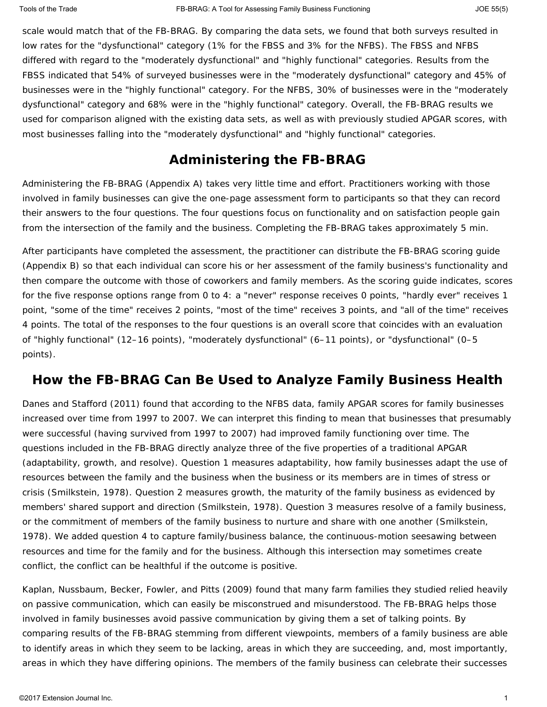scale would match that of the FB-BRAG. By comparing the data sets, we found that both surveys resulted in low rates for the "dysfunctional" category (1% for the FBSS and 3% for the NFBS). The FBSS and NFBS differed with regard to the "moderately dysfunctional" and "highly functional" categories. Results from the FBSS indicated that 54% of surveyed businesses were in the "moderately dysfunctional" category and 45% of businesses were in the "highly functional" category. For the NFBS, 30% of businesses were in the "moderately dysfunctional" category and 68% were in the "highly functional" category. Overall, the FB-BRAG results we used for comparison aligned with the existing data sets, as well as with previously studied APGAR scores, with most businesses falling into the "moderately dysfunctional" and "highly functional" categories.

## **Administering the FB-BRAG**

Administering the FB-BRAG (Appendix A) takes very little time and effort. Practitioners working with those involved in family businesses can give the one-page assessment form to participants so that they can record their answers to the four questions. The four questions focus on functionality and on satisfaction people gain from the intersection of the family and the business. Completing the FB-BRAG takes approximately 5 min.

After participants have completed the assessment, the practitioner can distribute the FB-BRAG scoring guide (Appendix B) so that each individual can score his or her assessment of the family business's functionality and then compare the outcome with those of coworkers and family members. As the scoring guide indicates, scores for the five response options range from 0 to 4: a "never" response receives 0 points, "hardly ever" receives 1 point, "some of the time" receives 2 points, "most of the time" receives 3 points, and "all of the time" receives 4 points. The total of the responses to the four questions is an overall score that coincides with an evaluation of "highly functional" (12–16 points), "moderately dysfunctional" (6–11 points), or "dysfunctional" (0–5 points).

#### **How the FB-BRAG Can Be Used to Analyze Family Business Health**

Danes and Stafford (2011) found that according to the NFBS data, family APGAR scores for family businesses increased over time from 1997 to 2007. We can interpret this finding to mean that businesses that presumably were successful (having survived from 1997 to 2007) had improved family functioning over time. The questions included in the FB-BRAG directly analyze three of the five properties of a traditional APGAR (adaptability, growth, and resolve). Question 1 measures adaptability, how family businesses adapt the use of resources between the family and the business when the business or its members are in times of stress or crisis (Smilkstein, 1978). Question 2 measures growth, the maturity of the family business as evidenced by members' shared support and direction (Smilkstein, 1978). Question 3 measures resolve of a family business, or the commitment of members of the family business to nurture and share with one another (Smilkstein, 1978). We added question 4 to capture family/business balance, the continuous-motion seesawing between resources and time for the family and for the business. Although this intersection may sometimes create conflict, the conflict can be healthful if the outcome is positive.

Kaplan, Nussbaum, Becker, Fowler, and Pitts (2009) found that many farm families they studied relied heavily on passive communication, which can easily be misconstrued and misunderstood. The FB-BRAG helps those involved in family businesses avoid passive communication by giving them a set of talking points. By comparing results of the FB-BRAG stemming from different viewpoints, members of a family business are able to identify areas in which they seem to be lacking, areas in which they are succeeding, and, most importantly, areas in which they have differing opinions. The members of the family business can celebrate their successes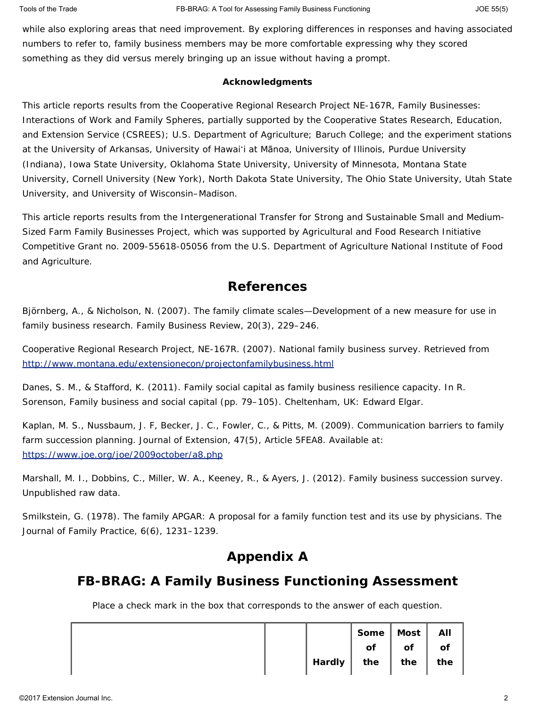while also exploring areas that need improvement. By exploring differences in responses and having associated numbers to refer to, family business members may be more comfortable expressing why they scored something as they did versus merely bringing up an issue without having a prompt.

#### **Acknowledgments**

This article reports results from the Cooperative Regional Research Project NE-167R, Family Businesses: Interactions of Work and Family Spheres, partially supported by the Cooperative States Research, Education, and Extension Service (CSREES); U.S. Department of Agriculture; Baruch College; and the experiment stations at the University of Arkansas, University of Hawaiʻi at Mānoa, University of Illinois, Purdue University (Indiana), Iowa State University, Oklahoma State University, University of Minnesota, Montana State University, Cornell University (New York), North Dakota State University, The Ohio State University, Utah State University, and University of Wisconsin–Madison.

This article reports results from the Intergenerational Transfer for Strong and Sustainable Small and Medium-Sized Farm Family Businesses Project, which was supported by Agricultural and Food Research Initiative Competitive Grant no. 2009-55618-05056 from the U.S. Department of Agriculture National Institute of Food and Agriculture.

#### **References**

Björnberg, A., & Nicholson, N. (2007). The family climate scales—Development of a new measure for use in family business research. *Family Business Review*, *20*(3), 229–246.

Cooperative Regional Research Project, NE-167R. (2007). *National family business survey*. Retrieved from <http://www.montana.edu/extensionecon/projectonfamilybusiness.html>

Danes, S. M., & Stafford, K. (2011). Family social capital as family business resilience capacity. In R. Sorenson, *Family business and social capital* (pp. 79–105). Cheltenham, UK: Edward Elgar.

Kaplan, M. S., Nussbaum, J. F, Becker, J. C., Fowler, C., & Pitts, M. (2009). Communication barriers to family farm succession planning. *Journal of Extension*, *47*(5), Article 5FEA8. Available at: <https://www.joe.org/joe/2009october/a8.php>

Marshall, M. I., Dobbins, C., Miller, W. A., Keeney, R., & Ayers, J. (2012). *Family business succession survey.* Unpublished raw data.

Smilkstein, G. (1978). The family APGAR: A proposal for a family function test and its use by physicians. *The Journal of Family Practice*, *6*(6), 1231–1239.

## **Appendix A**

## **FB-BRAG: A Family Business Functioning Assessment**

*Place a check mark in the box that corresponds to the answer of each question.*

|  |                   | Some   Most |     | All |
|--|-------------------|-------------|-----|-----|
|  |                   | of          | of  | of  |
|  | <b>I</b> Hardly I | the         | the | the |